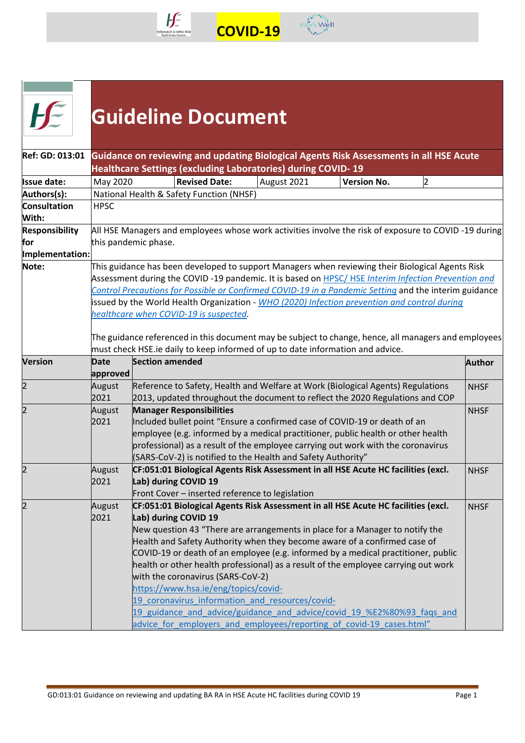



|                              |                |                        | <b>Guideline Document</b>                                                 |                                                                                |                                                                                                                                                                                                                                                                                                                                                                                                                                                                                                                                                                             |               |
|------------------------------|----------------|------------------------|---------------------------------------------------------------------------|--------------------------------------------------------------------------------|-----------------------------------------------------------------------------------------------------------------------------------------------------------------------------------------------------------------------------------------------------------------------------------------------------------------------------------------------------------------------------------------------------------------------------------------------------------------------------------------------------------------------------------------------------------------------------|---------------|
| Ref: GD: 013:01              |                |                        |                                                                           | Healthcare Settings (excluding Laboratories) during COVID-19                   | Guidance on reviewing and updating Biological Agents Risk Assessments in all HSE Acute                                                                                                                                                                                                                                                                                                                                                                                                                                                                                      |               |
| <b>Issue date:</b>           | May 2020       |                        | <b>Revised Date:</b>                                                      | August 2021                                                                    | <b>Version No.</b><br>2                                                                                                                                                                                                                                                                                                                                                                                                                                                                                                                                                     |               |
| Authors(s):                  |                |                        | National Health & Safety Function (NHSF)                                  |                                                                                |                                                                                                                                                                                                                                                                                                                                                                                                                                                                                                                                                                             |               |
| <b>Consultation</b><br>With: | <b>HPSC</b>    |                        |                                                                           |                                                                                |                                                                                                                                                                                                                                                                                                                                                                                                                                                                                                                                                                             |               |
| <b>Responsibility</b>        |                |                        |                                                                           |                                                                                | All HSE Managers and employees whose work activities involve the risk of exposure to COVID-19 during                                                                                                                                                                                                                                                                                                                                                                                                                                                                        |               |
| for                          |                | this pandemic phase.   |                                                                           |                                                                                |                                                                                                                                                                                                                                                                                                                                                                                                                                                                                                                                                                             |               |
| Implementation:<br>Note:     |                |                        |                                                                           |                                                                                | This guidance has been developed to support Managers when reviewing their Biological Agents Risk                                                                                                                                                                                                                                                                                                                                                                                                                                                                            |               |
|                              |                |                        | healthcare when COVID-19 is suspected.                                    | must check HSE.ie daily to keep informed of up to date information and advice. | Control Precautions for Possible or Confirmed COVID-19 in a Pandemic Setting and the interim guidance<br>issued by the World Health Organization - WHO (2020) Infection prevention and control during<br>The guidance referenced in this document may be subject to change, hence, all managers and employees                                                                                                                                                                                                                                                               |               |
| <b>Version</b>               | Date           | <b>Section amended</b> |                                                                           |                                                                                |                                                                                                                                                                                                                                                                                                                                                                                                                                                                                                                                                                             | <b>Author</b> |
|                              | approved       |                        |                                                                           |                                                                                |                                                                                                                                                                                                                                                                                                                                                                                                                                                                                                                                                                             |               |
| 2                            | August<br>2021 |                        |                                                                           |                                                                                | Reference to Safety, Health and Welfare at Work (Biological Agents) Regulations<br>2013, updated throughout the document to reflect the 2020 Regulations and COP                                                                                                                                                                                                                                                                                                                                                                                                            | <b>NHSF</b>   |
|                              | August<br>2021 |                        | <b>Manager Responsibilities</b>                                           | (SARS-CoV-2) is notified to the Health and Safety Authority"                   | Included bullet point "Ensure a confirmed case of COVID-19 or death of an<br>employee (e.g. informed by a medical practitioner, public health or other health<br>professional) as a result of the employee carrying out work with the coronavirus                                                                                                                                                                                                                                                                                                                           | <b>NHSF</b>   |
|                              | August<br>2021 | Lab) during COVID 19   | Front Cover - inserted reference to legislation                           |                                                                                | CF:051:01 Biological Agents Risk Assessment in all HSE Acute HC facilities (excl.                                                                                                                                                                                                                                                                                                                                                                                                                                                                                           | <b>NHSF</b>   |
| 12                           | August<br>2021 | Lab) during COVID 19   | with the coronavirus (SARS-CoV-2)<br>https://www.hsa.ie/eng/topics/covid- | 19 coronavirus information and resources/covid-                                | CF:051:01 Biological Agents Risk Assessment in all HSE Acute HC facilities (excl.<br>New question 43 "There are arrangements in place for a Manager to notify the<br>Health and Safety Authority when they become aware of a confirmed case of<br>COVID-19 or death of an employee (e.g. informed by a medical practitioner, public<br>health or other health professional) as a result of the employee carrying out work<br>19 guidance and advice/guidance and advice/covid 19 %E2%80%93 faqs and<br>advice for employers and employees/reporting of covid-19 cases.html" | <b>NHSF</b>   |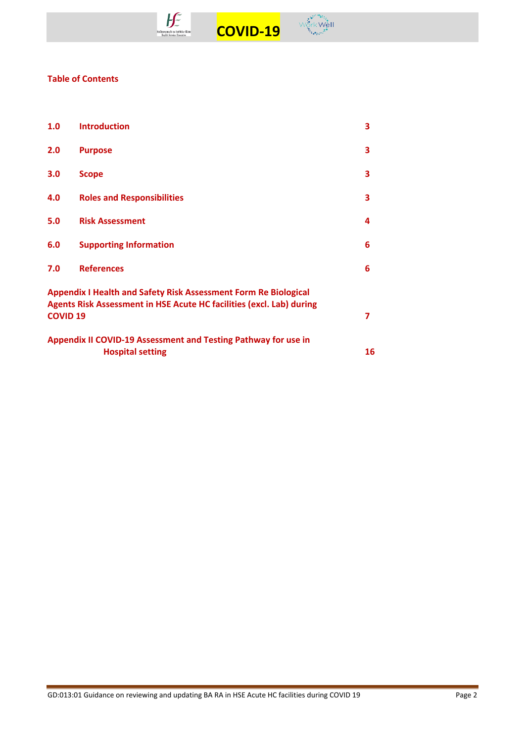



## **Table of Contents**

| 1.0                                                                                                                                            | <b>Introduction</b>               | 3 |  |  |  |
|------------------------------------------------------------------------------------------------------------------------------------------------|-----------------------------------|---|--|--|--|
| 2.0                                                                                                                                            | <b>Purpose</b>                    | 3 |  |  |  |
| 3.0                                                                                                                                            | <b>Scope</b>                      | 3 |  |  |  |
| 4.0                                                                                                                                            | <b>Roles and Responsibilities</b> | 3 |  |  |  |
| 5.0                                                                                                                                            | <b>Risk Assessment</b>            | 4 |  |  |  |
| 6.0                                                                                                                                            | <b>Supporting Information</b>     | 6 |  |  |  |
| 7.0                                                                                                                                            | <b>References</b>                 | 6 |  |  |  |
| <b>Appendix I Health and Safety Risk Assessment Form Re Biological</b><br>Agents Risk Assessment in HSE Acute HC facilities (excl. Lab) during |                                   |   |  |  |  |
| <b>COVID 19</b>                                                                                                                                |                                   | 7 |  |  |  |
| Appendix II COVID-19 Assessment and Testing Pathway for use in<br><b>Hospital setting</b><br>16                                                |                                   |   |  |  |  |
|                                                                                                                                                |                                   |   |  |  |  |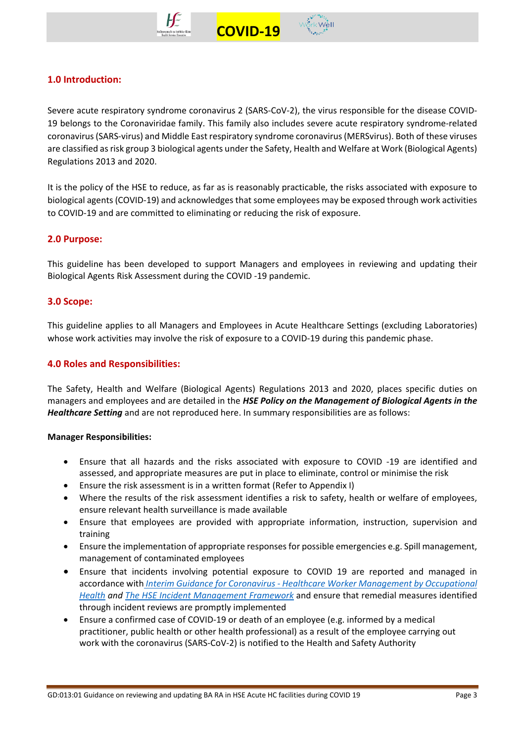



# **1.0 Introduction:**

Severe acute respiratory syndrome coronavirus 2 (SARS-CoV-2), the virus responsible for the disease COVID-19 belongs to the Coronaviridae family. This family also includes severe acute respiratory syndrome-related coronavirus (SARS-virus) and Middle East respiratory syndrome coronavirus (MERSvirus). Both of these viruses are classified as risk group 3 biological agents under the Safety, Health and Welfare at Work (Biological Agents) Regulations 2013 and 2020.

 **COVID-19** 

It is the policy of the HSE to reduce, as far as is reasonably practicable, the risks associated with exposure to biological agents (COVID-19) and acknowledges that some employees may be exposed through work activities to COVID-19 and are committed to eliminating or reducing the risk of exposure.

## **2.0 Purpose:**

This guideline has been developed to support Managers and employees in reviewing and updating their Biological Agents Risk Assessment during the COVID -19 pandemic.

## **3.0 Scope:**

This guideline applies to all Managers and Employees in Acute Healthcare Settings (excluding Laboratories) whose work activities may involve the risk of exposure to a COVID-19 during this pandemic phase.

## **4.0 Roles and Responsibilities:**

The Safety, Health and Welfare (Biological Agents) Regulations 2013 and 2020, places specific duties on managers and employees and are detailed in the *HSE Policy on the Management of Biological Agents in the Healthcare Setting* and are not reproduced here. In summary responsibilities are as follows:

## **Manager Responsibilities:**

- Ensure that all hazards and the risks associated with exposure to COVID -19 are identified and assessed, and appropriate measures are put in place to eliminate, control or minimise the risk
- Ensure the risk assessment is in a written format (Refer to Appendix I)
- Where the results of the risk assessment identifies a risk to safety, health or welfare of employees, ensure relevant health surveillance is made available
- Ensure that employees are provided with appropriate information, instruction, supervision and training
- Ensure the implementation of appropriate responses for possible emergencies e.g. Spill management, management of contaminated employees
- Ensure that incidents involving potential exposure to COVID 19 are reported and managed in accordance with *Interim Guidance for Coronavirus - [Healthcare Worker Management by Occupational](https://www.hse.ie/eng/staff/workplace-health-and-wellbeing-unit/covid-19-guidance/)  [Health](https://www.hse.ie/eng/staff/workplace-health-and-wellbeing-unit/covid-19-guidance/) and [The HSE Incident Management Framework](https://www.hse.ie/eng/about/qavd/incident-management/)* and ensure that remedial measures identified through incident reviews are promptly implemented
- Ensure a confirmed case of COVID-19 or death of an employee (e.g. informed by a medical practitioner, public health or other health professional) as a result of the employee carrying out work with the coronavirus (SARS-CoV-2) is notified to the Health and Safety Authority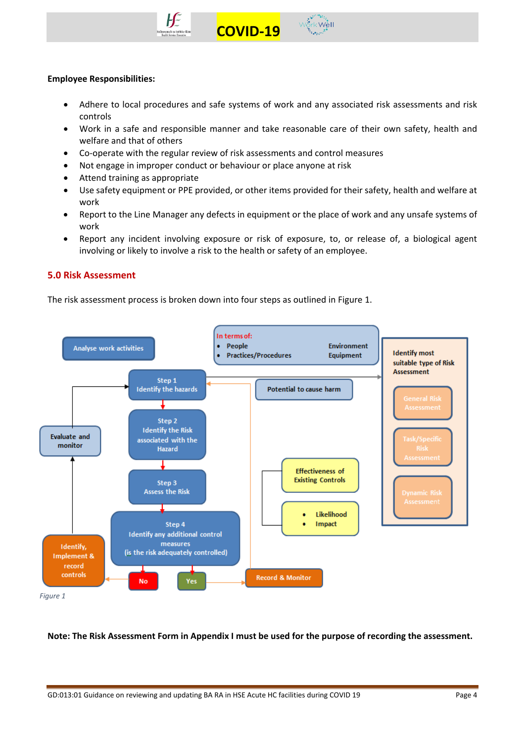



#### **Employee Responsibilities:**

• Adhere to local procedures and safe systems of work and any associated risk assessments and risk controls

 **COVID-19** 

- Work in a safe and responsible manner and take reasonable care of their own safety, health and welfare and that of others
- Co-operate with the regular review of risk assessments and control measures
- Not engage in improper conduct or behaviour or place anyone at risk
- Attend training as appropriate
- Use safety equipment or PPE provided, or other items provided for their safety, health and welfare at work
- Report to the Line Manager any defects in equipment or the place of work and any unsafe systems of work
- Report any incident involving exposure or risk of exposure, to, or release of, a biological agent involving or likely to involve a risk to the health or safety of an employee.

## **5.0 Risk Assessment**

The risk assessment process is broken down into four steps as outlined in Figure 1.



## **Note: The Risk Assessment Form in Appendix I must be used for the purpose of recording the assessment.**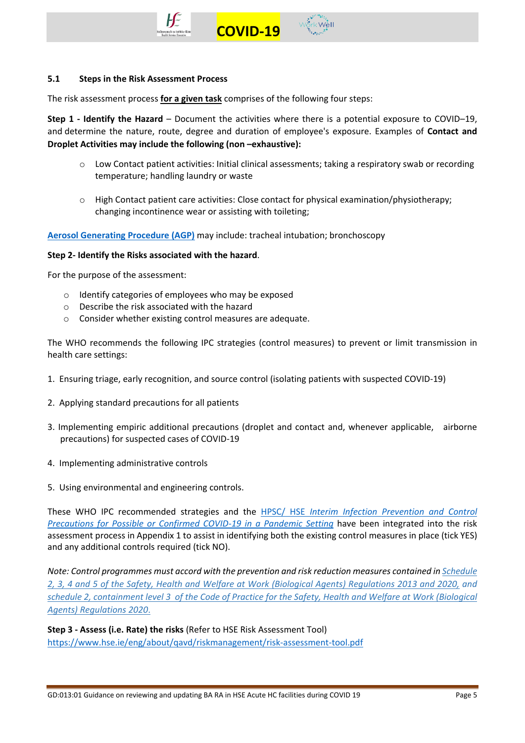



#### **5.1 Steps in the Risk Assessment Process**

The risk assessment process **for a given task** comprises of the following four steps:

**Step 1 - Identify the Hazard** – Document the activities where there is a potential exposure to COVID–19, and determine the nature, route, degree and duration of employee's exposure. Examples of **Contact and Droplet Activities may include the following (non –exhaustive):** 

 **COVID-19** 

- o Low Contact patient activities: Initial clinical assessments; taking a respiratory swab or recording temperature; handling laundry or waste
- $\circ$  High Contact patient care activities: Close contact for physical examination/physiotherapy; changing incontinence wear or assisting with toileting;

**[Aerosol Generating Procedure \(AGP\)](https://www.hpsc.ie/a-z/respiratory/coronavirus/novelcoronavirus/guidance/infectionpreventionandcontrolguidance/aerosolgeneratingprocedures/)** may include: tracheal intubation; bronchoscopy

#### **Step 2- Identify the Risks associated with the hazard**.

For the purpose of the assessment:

- o Identify categories of employees who may be exposed
- o Describe the risk associated with the hazard
- o Consider whether existing control measures are adequate.

The WHO recommends the following IPC strategies (control measures) to prevent or limit transmission in health care settings:

- 1. Ensuring triage, early recognition, and source control (isolating patients with suspected COVID-19)
- 2. Applying standard precautions for all patients
- 3. Implementing empiric additional precautions (droplet and contact and, whenever applicable, airborne precautions) for suspected cases of COVID-19
- 4. Implementing administrative controls
- 5. Using environmental and engineering controls.

These WHO IPC recommended strategies and the HPSC/ HSE *[Interim Infection Prevention and Control](https://www.hpsc.ie/a-z/respiratory/coronavirus/novelcoronavirus/guidance/infectionpreventionandcontrolguidance/)  [Precautions for Possible or Confirmed COVID-19](https://www.hpsc.ie/a-z/respiratory/coronavirus/novelcoronavirus/guidance/infectionpreventionandcontrolguidance/) in a Pandemic Setting* have been integrated into the risk assessment process in Appendix 1 to assist in identifying both the existing control measures in place (tick YES) and any additional controls required (tick NO).

*Note: Control programmes must accord with the prevention and risk reduction measures contained in [Schedule](https://www.hsa.ie/eng/topics/biological_agents/legislation_and_code_of_practice/)  [2, 3, 4 and 5 of the Safety, Health and Welfare at Work \(Biological Agents\) Regulations 2013](https://www.hsa.ie/eng/topics/biological_agents/legislation_and_code_of_practice/) and 2020, an[d](https://www.hsa.ie/eng/topics/biological_agents/legislation_and_code_of_practice/) schedule [2, containment level 3 of the Code of Practice for the Safety, Health and Welfare at Work \(Biological](https://www.hsa.ie/eng/topics/biological_agents/legislation_and_code_of_practice/)  [Agents\) Regulations 2020](https://www.hsa.ie/eng/topics/biological_agents/legislation_and_code_of_practice/)*.

**Step 3 - Assess (i.e. Rate) the risks** (Refer to HSE Risk Assessment Tool) <https://www.hse.ie/eng/about/qavd/riskmanagement/risk-assessment-tool.pdf>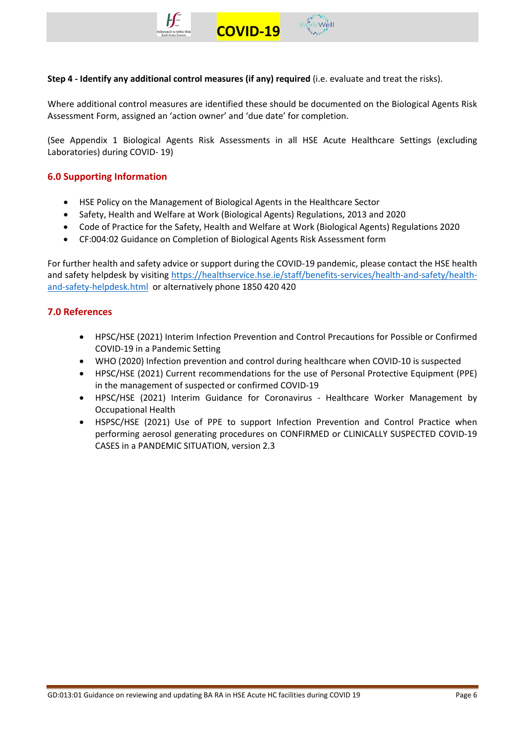



**Step 4 - Identify any additional control measures (if any) required** (i.e. evaluate and treat the risks).

Where additional control measures are identified these should be documented on the Biological Agents Risk Assessment Form, assigned an 'action owner' and 'due date' for completion.

(See Appendix 1 Biological Agents Risk Assessments in all HSE Acute Healthcare Settings (excluding Laboratories) during COVID- 19)

# **6.0 Supporting Information**

- HSE Policy on the Management of Biological Agents in the Healthcare Sector
- Safety, Health and Welfare at Work (Biological Agents) Regulations, 2013 and 2020
- Code of Practice for the Safety, Health and Welfare at Work (Biological Agents) Regulations 2020
- CF:004:02 Guidance on Completion of Biological Agents Risk Assessment form

For further health and safety advice or support during the COVID-19 pandemic, please contact the HSE health and safety helpdesk by visiting [https://healthservice.hse.ie/staff/benefits-services/health-and-safety/health](https://healthservice.hse.ie/staff/benefits-services/health-and-safety/health-and-safety-helpdesk.html)[and-safety-helpdesk.html](https://healthservice.hse.ie/staff/benefits-services/health-and-safety/health-and-safety-helpdesk.html) or alternatively phone 1850 420 420

## **7.0 References**

- HPSC/HSE (2021) Interim Infection Prevention and Control Precautions for Possible or Confirmed COVID-19 in a Pandemic Setting
- WHO (2020) Infection prevention and control during healthcare when COVID-10 is suspected
- HPSC/HSE (2021) Current recommendations for the use of Personal Protective Equipment (PPE) in the management of suspected or confirmed COVID-19
- HPSC/HSE (2021) Interim Guidance for Coronavirus Healthcare Worker Management by Occupational Health
- HSPSC/HSE (2021) Use of PPE to support Infection Prevention and Control Practice when performing aerosol generating procedures on CONFIRMED or CLINICALLY SUSPECTED COVID-19 CASES in a PANDEMIC SITUATION, version 2.3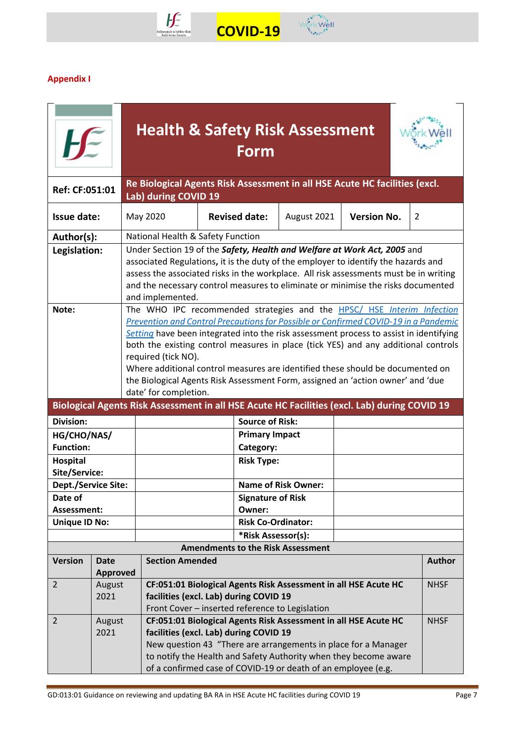



# **Appendix I**

|                                  |                                                                                                                                                                                                                                                                                                                                    | <b>Health &amp; Safety Risk Assessment</b>                                                                                                                                                                                                                                                                                                                                                                                                                                                                                                                         |                                                                                              |                            |                    |               |  |  |  |
|----------------------------------|------------------------------------------------------------------------------------------------------------------------------------------------------------------------------------------------------------------------------------------------------------------------------------------------------------------------------------|--------------------------------------------------------------------------------------------------------------------------------------------------------------------------------------------------------------------------------------------------------------------------------------------------------------------------------------------------------------------------------------------------------------------------------------------------------------------------------------------------------------------------------------------------------------------|----------------------------------------------------------------------------------------------|----------------------------|--------------------|---------------|--|--|--|
| Ref: CF:051:01                   |                                                                                                                                                                                                                                                                                                                                    | Re Biological Agents Risk Assessment in all HSE Acute HC facilities (excl.<br>Lab) during COVID 19                                                                                                                                                                                                                                                                                                                                                                                                                                                                 |                                                                                              |                            |                    |               |  |  |  |
| <b>Issue date:</b>               |                                                                                                                                                                                                                                                                                                                                    | May 2020                                                                                                                                                                                                                                                                                                                                                                                                                                                                                                                                                           | <b>Revised date:</b>                                                                         | August 2021                | <b>Version No.</b> | 2             |  |  |  |
| Author(s):                       |                                                                                                                                                                                                                                                                                                                                    | National Health & Safety Function                                                                                                                                                                                                                                                                                                                                                                                                                                                                                                                                  |                                                                                              |                            |                    |               |  |  |  |
| Legislation:                     |                                                                                                                                                                                                                                                                                                                                    | Under Section 19 of the Safety, Health and Welfare at Work Act, 2005 and<br>associated Regulations, it is the duty of the employer to identify the hazards and<br>assess the associated risks in the workplace. All risk assessments must be in writing<br>and the necessary control measures to eliminate or minimise the risks documented<br>and implemented.                                                                                                                                                                                                    |                                                                                              |                            |                    |               |  |  |  |
| Note:                            |                                                                                                                                                                                                                                                                                                                                    | The WHO IPC recommended strategies and the HPSC/ HSE Interim Infection<br>Prevention and Control Precautions for Possible or Confirmed COVID-19 in a Pandemic<br>Setting have been integrated into the risk assessment process to assist in identifying<br>both the existing control measures in place (tick YES) and any additional controls<br>required (tick NO).<br>Where additional control measures are identified these should be documented on<br>the Biological Agents Risk Assessment Form, assigned an 'action owner' and 'due<br>date' for completion. |                                                                                              |                            |                    |               |  |  |  |
|                                  |                                                                                                                                                                                                                                                                                                                                    |                                                                                                                                                                                                                                                                                                                                                                                                                                                                                                                                                                    | Biological Agents Risk Assessment in all HSE Acute HC Facilities (excl. Lab) during COVID 19 |                            |                    |               |  |  |  |
| <b>Division:</b>                 |                                                                                                                                                                                                                                                                                                                                    |                                                                                                                                                                                                                                                                                                                                                                                                                                                                                                                                                                    | <b>Source of Risk:</b>                                                                       |                            |                    |               |  |  |  |
| HG/CHO/NAS/                      |                                                                                                                                                                                                                                                                                                                                    |                                                                                                                                                                                                                                                                                                                                                                                                                                                                                                                                                                    | <b>Primary Impact</b>                                                                        |                            |                    |               |  |  |  |
| <b>Function:</b>                 |                                                                                                                                                                                                                                                                                                                                    |                                                                                                                                                                                                                                                                                                                                                                                                                                                                                                                                                                    | Category:                                                                                    |                            |                    |               |  |  |  |
| <b>Hospital</b><br>Site/Service: |                                                                                                                                                                                                                                                                                                                                    |                                                                                                                                                                                                                                                                                                                                                                                                                                                                                                                                                                    | <b>Risk Type:</b>                                                                            |                            |                    |               |  |  |  |
| Dept./Service Site:              |                                                                                                                                                                                                                                                                                                                                    |                                                                                                                                                                                                                                                                                                                                                                                                                                                                                                                                                                    |                                                                                              | <b>Name of Risk Owner:</b> |                    |               |  |  |  |
| Date of                          |                                                                                                                                                                                                                                                                                                                                    |                                                                                                                                                                                                                                                                                                                                                                                                                                                                                                                                                                    | <b>Signature of Risk</b>                                                                     |                            |                    |               |  |  |  |
| Assessment:                      |                                                                                                                                                                                                                                                                                                                                    |                                                                                                                                                                                                                                                                                                                                                                                                                                                                                                                                                                    | Owner:                                                                                       |                            |                    |               |  |  |  |
| <b>Unique ID No:</b>             |                                                                                                                                                                                                                                                                                                                                    |                                                                                                                                                                                                                                                                                                                                                                                                                                                                                                                                                                    | <b>Risk Co-Ordinator:</b>                                                                    |                            |                    |               |  |  |  |
|                                  |                                                                                                                                                                                                                                                                                                                                    |                                                                                                                                                                                                                                                                                                                                                                                                                                                                                                                                                                    | *Risk Assessor(s):                                                                           |                            |                    |               |  |  |  |
| <b>Version</b>                   | <b>Date</b>                                                                                                                                                                                                                                                                                                                        | <b>Section Amended</b>                                                                                                                                                                                                                                                                                                                                                                                                                                                                                                                                             | <b>Amendments to the Risk Assessment</b>                                                     |                            |                    | <b>Author</b> |  |  |  |
|                                  | <b>Approved</b>                                                                                                                                                                                                                                                                                                                    |                                                                                                                                                                                                                                                                                                                                                                                                                                                                                                                                                                    |                                                                                              |                            |                    |               |  |  |  |
| $\overline{2}$                   | August<br>2021                                                                                                                                                                                                                                                                                                                     | CF:051:01 Biological Agents Risk Assessment in all HSE Acute HC<br><b>NHSF</b><br>facilities (excl. Lab) during COVID 19<br>Front Cover - inserted reference to Legislation                                                                                                                                                                                                                                                                                                                                                                                        |                                                                                              |                            |                    |               |  |  |  |
| $\overline{2}$                   | CF:051:01 Biological Agents Risk Assessment in all HSE Acute HC<br>August<br>2021<br>facilities (excl. Lab) during COVID 19<br>New question 43 "There are arrangements in place for a Manager<br>to notify the Health and Safety Authority when they become aware<br>of a confirmed case of COVID-19 or death of an employee (e.g. |                                                                                                                                                                                                                                                                                                                                                                                                                                                                                                                                                                    |                                                                                              | <b>NHSF</b>                |                    |               |  |  |  |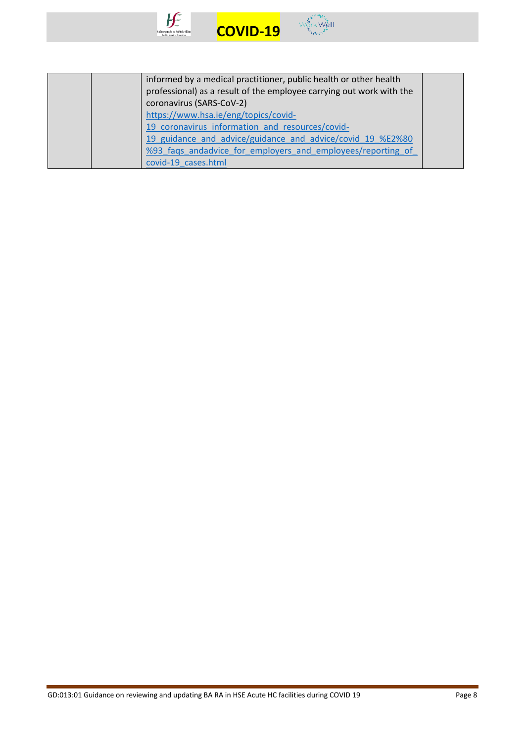



| informed by a medical practitioner, public health or other health<br>professional) as a result of the employee carrying out work with the<br>coronavirus (SARS-CoV-2) |  |
|-----------------------------------------------------------------------------------------------------------------------------------------------------------------------|--|
| https://www.hsa.ie/eng/topics/covid-                                                                                                                                  |  |
| 19 coronavirus information and resources/covid-                                                                                                                       |  |
| 19 guidance and advice/guidance and advice/covid 19 %E2%80                                                                                                            |  |
| %93 fags andadvice for employers and employees/reporting of                                                                                                           |  |
| covid-19 cases.html                                                                                                                                                   |  |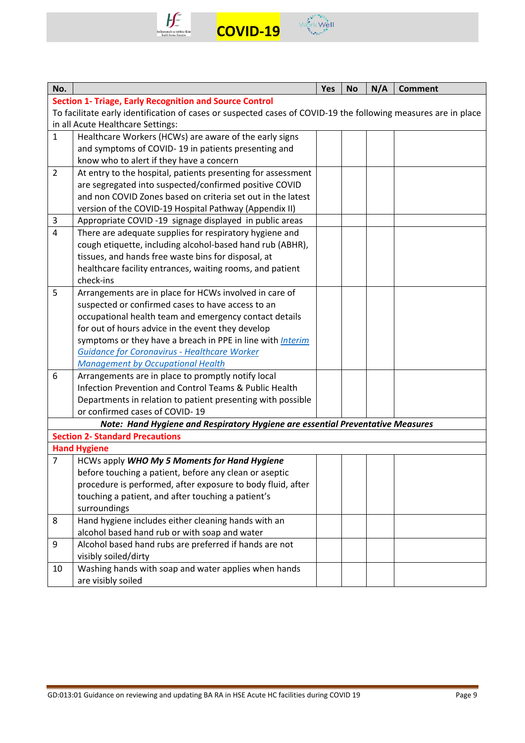



| No.            |                                                                                                                | Yes | <b>No</b> | N/A | <b>Comment</b> |  |  |  |
|----------------|----------------------------------------------------------------------------------------------------------------|-----|-----------|-----|----------------|--|--|--|
|                | <b>Section 1- Triage, Early Recognition and Source Control</b>                                                 |     |           |     |                |  |  |  |
|                | To facilitate early identification of cases or suspected cases of COVID-19 the following measures are in place |     |           |     |                |  |  |  |
|                | in all Acute Healthcare Settings:                                                                              |     |           |     |                |  |  |  |
| $\mathbf{1}$   | Healthcare Workers (HCWs) are aware of the early signs                                                         |     |           |     |                |  |  |  |
|                | and symptoms of COVID-19 in patients presenting and                                                            |     |           |     |                |  |  |  |
|                | know who to alert if they have a concern                                                                       |     |           |     |                |  |  |  |
| $\overline{2}$ | At entry to the hospital, patients presenting for assessment                                                   |     |           |     |                |  |  |  |
|                | are segregated into suspected/confirmed positive COVID                                                         |     |           |     |                |  |  |  |
|                | and non COVID Zones based on criteria set out in the latest                                                    |     |           |     |                |  |  |  |
|                | version of the COVID-19 Hospital Pathway (Appendix II)                                                         |     |           |     |                |  |  |  |
| 3              | Appropriate COVID-19 signage displayed in public areas                                                         |     |           |     |                |  |  |  |
| $\overline{4}$ | There are adequate supplies for respiratory hygiene and                                                        |     |           |     |                |  |  |  |
|                | cough etiquette, including alcohol-based hand rub (ABHR),                                                      |     |           |     |                |  |  |  |
|                | tissues, and hands free waste bins for disposal, at                                                            |     |           |     |                |  |  |  |
|                | healthcare facility entrances, waiting rooms, and patient                                                      |     |           |     |                |  |  |  |
|                | check-ins                                                                                                      |     |           |     |                |  |  |  |
| 5              | Arrangements are in place for HCWs involved in care of                                                         |     |           |     |                |  |  |  |
|                | suspected or confirmed cases to have access to an                                                              |     |           |     |                |  |  |  |
|                | occupational health team and emergency contact details                                                         |     |           |     |                |  |  |  |
|                | for out of hours advice in the event they develop                                                              |     |           |     |                |  |  |  |
|                | symptoms or they have a breach in PPE in line with <i>Interim</i>                                              |     |           |     |                |  |  |  |
|                | <b>Guidance for Coronavirus - Healthcare Worker</b>                                                            |     |           |     |                |  |  |  |
|                | <b>Management by Occupational Health</b>                                                                       |     |           |     |                |  |  |  |
| 6              | Arrangements are in place to promptly notify local                                                             |     |           |     |                |  |  |  |
|                | Infection Prevention and Control Teams & Public Health                                                         |     |           |     |                |  |  |  |
|                | Departments in relation to patient presenting with possible                                                    |     |           |     |                |  |  |  |
|                | or confirmed cases of COVID-19                                                                                 |     |           |     |                |  |  |  |
|                | Note: Hand Hygiene and Respiratory Hygiene are essential Preventative Measures                                 |     |           |     |                |  |  |  |
|                | <b>Section 2- Standard Precautions</b>                                                                         |     |           |     |                |  |  |  |
|                | <b>Hand Hygiene</b>                                                                                            |     |           |     |                |  |  |  |
| $\overline{7}$ | HCWs apply WHO My 5 Moments for Hand Hygiene                                                                   |     |           |     |                |  |  |  |
|                | before touching a patient, before any clean or aseptic                                                         |     |           |     |                |  |  |  |
|                | procedure is performed, after exposure to body fluid, after                                                    |     |           |     |                |  |  |  |
|                | touching a patient, and after touching a patient's                                                             |     |           |     |                |  |  |  |
|                | surroundings                                                                                                   |     |           |     |                |  |  |  |
| 8              | Hand hygiene includes either cleaning hands with an                                                            |     |           |     |                |  |  |  |
|                | alcohol based hand rub or with soap and water                                                                  |     |           |     |                |  |  |  |
| 9              | Alcohol based hand rubs are preferred if hands are not                                                         |     |           |     |                |  |  |  |
|                | visibly soiled/dirty                                                                                           |     |           |     |                |  |  |  |
| 10             | Washing hands with soap and water applies when hands                                                           |     |           |     |                |  |  |  |
|                | are visibly soiled                                                                                             |     |           |     |                |  |  |  |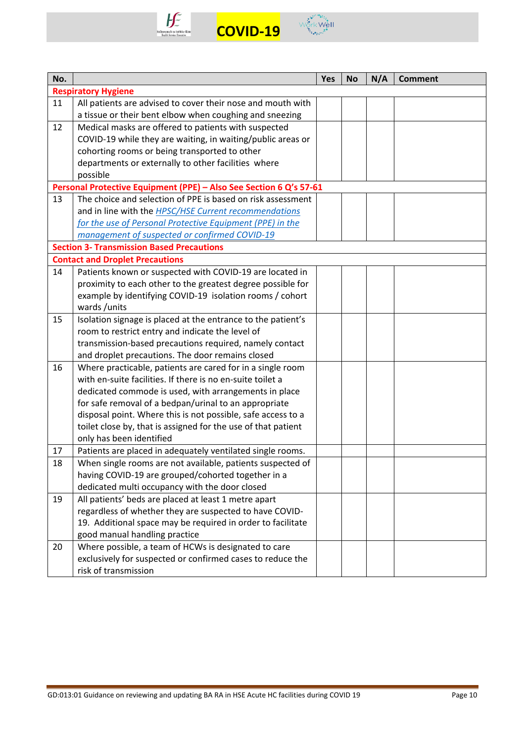



| No. |                                                                    | Yes | <b>No</b> | N/A | <b>Comment</b> |
|-----|--------------------------------------------------------------------|-----|-----------|-----|----------------|
|     | <b>Respiratory Hygiene</b>                                         |     |           |     |                |
| 11  | All patients are advised to cover their nose and mouth with        |     |           |     |                |
|     | a tissue or their bent elbow when coughing and sneezing            |     |           |     |                |
| 12  | Medical masks are offered to patients with suspected               |     |           |     |                |
|     | COVID-19 while they are waiting, in waiting/public areas or        |     |           |     |                |
|     | cohorting rooms or being transported to other                      |     |           |     |                |
|     | departments or externally to other facilities where                |     |           |     |                |
|     | possible                                                           |     |           |     |                |
|     | Personal Protective Equipment (PPE) - Also See Section 6 Q's 57-61 |     |           |     |                |
| 13  | The choice and selection of PPE is based on risk assessment        |     |           |     |                |
|     | and in line with the HPSC/HSE Current recommendations              |     |           |     |                |
|     | for the use of Personal Protective Equipment (PPE) in the          |     |           |     |                |
|     | management of suspected or confirmed COVID-19                      |     |           |     |                |
|     | <b>Section 3- Transmission Based Precautions</b>                   |     |           |     |                |
|     | <b>Contact and Droplet Precautions</b>                             |     |           |     |                |
| 14  | Patients known or suspected with COVID-19 are located in           |     |           |     |                |
|     | proximity to each other to the greatest degree possible for        |     |           |     |                |
|     | example by identifying COVID-19 isolation rooms / cohort           |     |           |     |                |
|     | wards/units                                                        |     |           |     |                |
| 15  | Isolation signage is placed at the entrance to the patient's       |     |           |     |                |
|     | room to restrict entry and indicate the level of                   |     |           |     |                |
|     | transmission-based precautions required, namely contact            |     |           |     |                |
|     | and droplet precautions. The door remains closed                   |     |           |     |                |
| 16  | Where practicable, patients are cared for in a single room         |     |           |     |                |
|     | with en-suite facilities. If there is no en-suite toilet a         |     |           |     |                |
|     | dedicated commode is used, with arrangements in place              |     |           |     |                |
|     | for safe removal of a bedpan/urinal to an appropriate              |     |           |     |                |
|     | disposal point. Where this is not possible, safe access to a       |     |           |     |                |
|     | toilet close by, that is assigned for the use of that patient      |     |           |     |                |
|     | only has been identified                                           |     |           |     |                |
| 17  | Patients are placed in adequately ventilated single rooms.         |     |           |     |                |
| 18  | When single rooms are not available, patients suspected of         |     |           |     |                |
|     | having COVID-19 are grouped/cohorted together in a                 |     |           |     |                |
|     | dedicated multi occupancy with the door closed                     |     |           |     |                |
| 19  | All patients' beds are placed at least 1 metre apart               |     |           |     |                |
|     | regardless of whether they are suspected to have COVID-            |     |           |     |                |
|     | 19. Additional space may be required in order to facilitate        |     |           |     |                |
|     | good manual handling practice                                      |     |           |     |                |
| 20  | Where possible, a team of HCWs is designated to care               |     |           |     |                |
|     | exclusively for suspected or confirmed cases to reduce the         |     |           |     |                |
|     | risk of transmission                                               |     |           |     |                |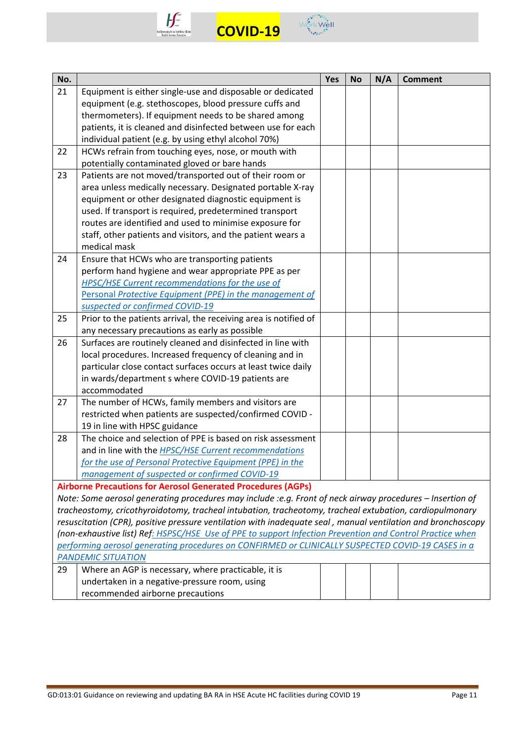



| No. |                                                                                                              | Yes | <b>No</b> | N/A | <b>Comment</b> |
|-----|--------------------------------------------------------------------------------------------------------------|-----|-----------|-----|----------------|
| 21  | Equipment is either single-use and disposable or dedicated                                                   |     |           |     |                |
|     | equipment (e.g. stethoscopes, blood pressure cuffs and                                                       |     |           |     |                |
|     | thermometers). If equipment needs to be shared among                                                         |     |           |     |                |
|     | patients, it is cleaned and disinfected between use for each                                                 |     |           |     |                |
|     | individual patient (e.g. by using ethyl alcohol 70%)                                                         |     |           |     |                |
| 22  | HCWs refrain from touching eyes, nose, or mouth with                                                         |     |           |     |                |
|     | potentially contaminated gloved or bare hands                                                                |     |           |     |                |
| 23  | Patients are not moved/transported out of their room or                                                      |     |           |     |                |
|     | area unless medically necessary. Designated portable X-ray                                                   |     |           |     |                |
|     | equipment or other designated diagnostic equipment is                                                        |     |           |     |                |
|     | used. If transport is required, predetermined transport                                                      |     |           |     |                |
|     | routes are identified and used to minimise exposure for                                                      |     |           |     |                |
|     | staff, other patients and visitors, and the patient wears a                                                  |     |           |     |                |
|     | medical mask                                                                                                 |     |           |     |                |
| 24  | Ensure that HCWs who are transporting patients                                                               |     |           |     |                |
|     | perform hand hygiene and wear appropriate PPE as per                                                         |     |           |     |                |
|     | HPSC/HSE Current recommendations for the use of                                                              |     |           |     |                |
|     | Personal Protective Equipment (PPE) in the management of                                                     |     |           |     |                |
|     | suspected or confirmed COVID-19                                                                              |     |           |     |                |
| 25  | Prior to the patients arrival, the receiving area is notified of                                             |     |           |     |                |
|     | any necessary precautions as early as possible                                                               |     |           |     |                |
| 26  | Surfaces are routinely cleaned and disinfected in line with                                                  |     |           |     |                |
|     | local procedures. Increased frequency of cleaning and in                                                     |     |           |     |                |
|     | particular close contact surfaces occurs at least twice daily                                                |     |           |     |                |
|     | in wards/department s where COVID-19 patients are                                                            |     |           |     |                |
|     | accommodated                                                                                                 |     |           |     |                |
| 27  | The number of HCWs, family members and visitors are                                                          |     |           |     |                |
|     | restricted when patients are suspected/confirmed COVID -                                                     |     |           |     |                |
|     | 19 in line with HPSC guidance                                                                                |     |           |     |                |
| 28  | The choice and selection of PPE is based on risk assessment                                                  |     |           |     |                |
|     | and in line with the <b>HPSC/HSE Current recommendations</b>                                                 |     |           |     |                |
|     | for the use of Personal Protective Equipment (PPE) in the                                                    |     |           |     |                |
|     | management of suspected or confirmed COVID-19                                                                |     |           |     |                |
|     | <b>Airborne Precautions for Aerosol Generated Procedures (AGPs)</b>                                          |     |           |     |                |
|     | Note: Some aerosol generating procedures may include :e.g. Front of neck airway procedures - Insertion of    |     |           |     |                |
|     | tracheostomy, cricothyroidotomy, tracheal intubation, tracheotomy, tracheal extubation, cardiopulmonary      |     |           |     |                |
|     | resuscitation (CPR), positive pressure ventilation with inadequate seal, manual ventilation and bronchoscopy |     |           |     |                |
|     | (non-exhaustive list) Ref: HSPSC/HSE Use of PPE to support Infection Prevention and Control Practice when    |     |           |     |                |
|     | performing aerosol generating procedures on CONFIRMED or CLINICALLY SUSPECTED COVID-19 CASES in a            |     |           |     |                |
|     | <b>PANDEMIC SITUATION</b>                                                                                    |     |           |     |                |
| 29  | Where an AGP is necessary, where practicable, it is                                                          |     |           |     |                |
|     | undertaken in a negative-pressure room, using                                                                |     |           |     |                |
|     | recommended airborne precautions                                                                             |     |           |     |                |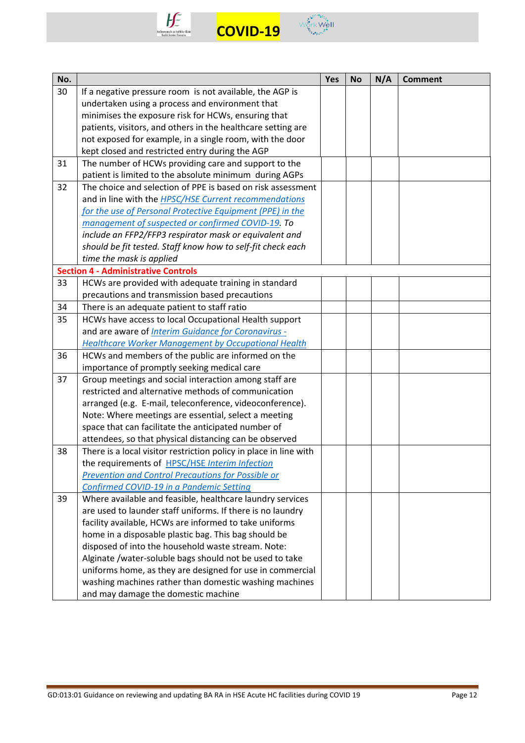



| No. |                                                                   | Yes | <b>No</b> | N/A | <b>Comment</b> |
|-----|-------------------------------------------------------------------|-----|-----------|-----|----------------|
| 30  | If a negative pressure room is not available, the AGP is          |     |           |     |                |
|     | undertaken using a process and environment that                   |     |           |     |                |
|     | minimises the exposure risk for HCWs, ensuring that               |     |           |     |                |
|     | patients, visitors, and others in the healthcare setting are      |     |           |     |                |
|     | not exposed for example, in a single room, with the door          |     |           |     |                |
|     | kept closed and restricted entry during the AGP                   |     |           |     |                |
| 31  | The number of HCWs providing care and support to the              |     |           |     |                |
|     | patient is limited to the absolute minimum during AGPs            |     |           |     |                |
| 32  | The choice and selection of PPE is based on risk assessment       |     |           |     |                |
|     | and in line with the <b>HPSC/HSE Current recommendations</b>      |     |           |     |                |
|     | for the use of Personal Protective Equipment (PPE) in the         |     |           |     |                |
|     | management of suspected or confirmed COVID-19. To                 |     |           |     |                |
|     | include an FFP2/FFP3 respirator mask or equivalent and            |     |           |     |                |
|     | should be fit tested. Staff know how to self-fit check each       |     |           |     |                |
|     | time the mask is applied                                          |     |           |     |                |
|     | <b>Section 4 - Administrative Controls</b>                        |     |           |     |                |
| 33  | HCWs are provided with adequate training in standard              |     |           |     |                |
|     | precautions and transmission based precautions                    |     |           |     |                |
| 34  | There is an adequate patient to staff ratio                       |     |           |     |                |
| 35  | HCWs have access to local Occupational Health support             |     |           |     |                |
|     | and are aware of Interim Guidance for Coronavirus -               |     |           |     |                |
|     | <b>Healthcare Worker Management by Occupational Health</b>        |     |           |     |                |
| 36  | HCWs and members of the public are informed on the                |     |           |     |                |
|     | importance of promptly seeking medical care                       |     |           |     |                |
| 37  | Group meetings and social interaction among staff are             |     |           |     |                |
|     | restricted and alternative methods of communication               |     |           |     |                |
|     | arranged (e.g. E-mail, teleconference, videoconference).          |     |           |     |                |
|     | Note: Where meetings are essential, select a meeting              |     |           |     |                |
|     | space that can facilitate the anticipated number of               |     |           |     |                |
|     | attendees, so that physical distancing can be observed            |     |           |     |                |
| 38  | There is a local visitor restriction policy in place in line with |     |           |     |                |
|     | the requirements of HPSC/HSE Interim Infection                    |     |           |     |                |
|     | Prevention and Control Precautions for Possible or                |     |           |     |                |
|     | Confirmed COVID-19 in a Pandemic Setting                          |     |           |     |                |
| 39  | Where available and feasible, healthcare laundry services         |     |           |     |                |
|     | are used to launder staff uniforms. If there is no laundry        |     |           |     |                |
|     | facility available, HCWs are informed to take uniforms            |     |           |     |                |
|     | home in a disposable plastic bag. This bag should be              |     |           |     |                |
|     | disposed of into the household waste stream. Note:                |     |           |     |                |
|     | Alginate /water-soluble bags should not be used to take           |     |           |     |                |
|     | uniforms home, as they are designed for use in commercial         |     |           |     |                |
|     | washing machines rather than domestic washing machines            |     |           |     |                |
|     | and may damage the domestic machine                               |     |           |     |                |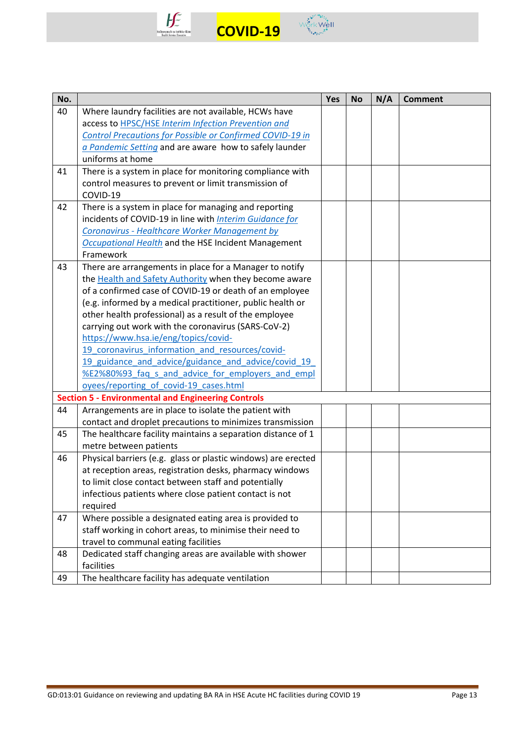



| No. |                                                                  | Yes | <b>No</b> | N/A | <b>Comment</b> |
|-----|------------------------------------------------------------------|-----|-----------|-----|----------------|
| 40  | Where laundry facilities are not available, HCWs have            |     |           |     |                |
|     | access to HPSC/HSE Interim Infection Prevention and              |     |           |     |                |
|     | <b>Control Precautions for Possible or Confirmed COVID-19 in</b> |     |           |     |                |
|     | a Pandemic Setting and are aware how to safely launder           |     |           |     |                |
|     | uniforms at home                                                 |     |           |     |                |
| 41  | There is a system in place for monitoring compliance with        |     |           |     |                |
|     | control measures to prevent or limit transmission of             |     |           |     |                |
|     | COVID-19                                                         |     |           |     |                |
| 42  | There is a system in place for managing and reporting            |     |           |     |                |
|     | incidents of COVID-19 in line with Interim Guidance for          |     |           |     |                |
|     | <b>Coronavirus - Healthcare Worker Management by</b>             |     |           |     |                |
|     | Occupational Health and the HSE Incident Management              |     |           |     |                |
|     | Framework                                                        |     |           |     |                |
| 43  | There are arrangements in place for a Manager to notify          |     |           |     |                |
|     | the Health and Safety Authority when they become aware           |     |           |     |                |
|     | of a confirmed case of COVID-19 or death of an employee          |     |           |     |                |
|     | (e.g. informed by a medical practitioner, public health or       |     |           |     |                |
|     | other health professional) as a result of the employee           |     |           |     |                |
|     | carrying out work with the coronavirus (SARS-CoV-2)              |     |           |     |                |
|     | https://www.hsa.ie/eng/topics/covid-                             |     |           |     |                |
|     | 19 coronavirus information and resources/covid-                  |     |           |     |                |
|     | 19 guidance and advice/guidance and advice/covid 19              |     |           |     |                |
|     | %E2%80%93 faq s and advice for employers and empl                |     |           |     |                |
|     | oyees/reporting of covid-19 cases.html                           |     |           |     |                |
|     | <b>Section 5 - Environmental and Engineering Controls</b>        |     |           |     |                |
| 44  | Arrangements are in place to isolate the patient with            |     |           |     |                |
|     | contact and droplet precautions to minimizes transmission        |     |           |     |                |
| 45  | The healthcare facility maintains a separation distance of 1     |     |           |     |                |
|     | metre between patients                                           |     |           |     |                |
| 46  | Physical barriers (e.g. glass or plastic windows) are erected    |     |           |     |                |
|     | at reception areas, registration desks, pharmacy windows         |     |           |     |                |
|     | to limit close contact between staff and potentially             |     |           |     |                |
|     | infectious patients where close patient contact is not           |     |           |     |                |
|     | required                                                         |     |           |     |                |
| 47  | Where possible a designated eating area is provided to           |     |           |     |                |
|     | staff working in cohort areas, to minimise their need to         |     |           |     |                |
|     | travel to communal eating facilities                             |     |           |     |                |
| 48  | Dedicated staff changing areas are available with shower         |     |           |     |                |
|     | facilities                                                       |     |           |     |                |
| 49  | The healthcare facility has adequate ventilation                 |     |           |     |                |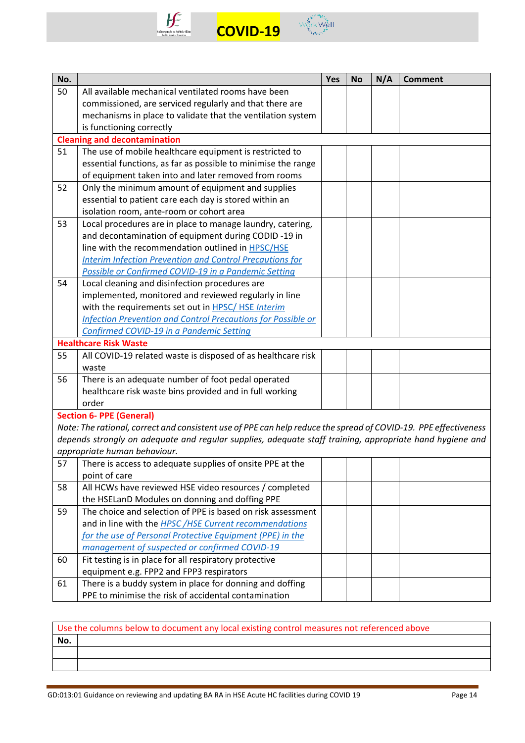



| No. |                                                                                                                 | Yes | <b>No</b> | N/A | <b>Comment</b> |
|-----|-----------------------------------------------------------------------------------------------------------------|-----|-----------|-----|----------------|
| 50  | All available mechanical ventilated rooms have been                                                             |     |           |     |                |
|     | commissioned, are serviced regularly and that there are                                                         |     |           |     |                |
|     | mechanisms in place to validate that the ventilation system                                                     |     |           |     |                |
|     | is functioning correctly                                                                                        |     |           |     |                |
|     | <b>Cleaning and decontamination</b>                                                                             |     |           |     |                |
| 51  | The use of mobile healthcare equipment is restricted to                                                         |     |           |     |                |
|     | essential functions, as far as possible to minimise the range                                                   |     |           |     |                |
|     | of equipment taken into and later removed from rooms                                                            |     |           |     |                |
| 52  | Only the minimum amount of equipment and supplies                                                               |     |           |     |                |
|     | essential to patient care each day is stored within an                                                          |     |           |     |                |
|     | isolation room, ante-room or cohort area                                                                        |     |           |     |                |
| 53  | Local procedures are in place to manage laundry, catering,                                                      |     |           |     |                |
|     | and decontamination of equipment during CODID -19 in                                                            |     |           |     |                |
|     | line with the recommendation outlined in HPSC/HSE                                                               |     |           |     |                |
|     | <b>Interim Infection Prevention and Control Precautions for</b>                                                 |     |           |     |                |
|     | Possible or Confirmed COVID-19 in a Pandemic Setting                                                            |     |           |     |                |
| 54  | Local cleaning and disinfection procedures are                                                                  |     |           |     |                |
|     | implemented, monitored and reviewed regularly in line                                                           |     |           |     |                |
|     | with the requirements set out in HPSC/HSE Interim                                                               |     |           |     |                |
|     | <b>Infection Prevention and Control Precautions for Possible or</b>                                             |     |           |     |                |
|     | Confirmed COVID-19 in a Pandemic Setting                                                                        |     |           |     |                |
|     | <b>Healthcare Risk Waste</b>                                                                                    |     |           |     |                |
| 55  | All COVID-19 related waste is disposed of as healthcare risk                                                    |     |           |     |                |
|     | waste                                                                                                           |     |           |     |                |
| 56  | There is an adequate number of foot pedal operated                                                              |     |           |     |                |
|     | healthcare risk waste bins provided and in full working                                                         |     |           |     |                |
|     | order                                                                                                           |     |           |     |                |
|     | <b>Section 6- PPE (General)</b>                                                                                 |     |           |     |                |
|     | Note: The rational, correct and consistent use of PPE can help reduce the spread of COVID-19. PPE effectiveness |     |           |     |                |
|     | depends strongly on adequate and regular supplies, adequate staff training, appropriate hand hygiene and        |     |           |     |                |
|     | appropriate human behaviour.                                                                                    |     |           |     |                |
| 57  | There is access to adequate supplies of onsite PPE at the                                                       |     |           |     |                |
| 58  | point of care<br>All HCWs have reviewed HSE video resources / completed                                         |     |           |     |                |
|     | the HSELanD Modules on donning and doffing PPE                                                                  |     |           |     |                |
| 59  | The choice and selection of PPE is based on risk assessment                                                     |     |           |     |                |
|     | and in line with the HPSC/HSE Current recommendations                                                           |     |           |     |                |
|     | for the use of Personal Protective Equipment (PPE) in the                                                       |     |           |     |                |
|     | management of suspected or confirmed COVID-19                                                                   |     |           |     |                |
| 60  | Fit testing is in place for all respiratory protective                                                          |     |           |     |                |
|     | equipment e.g. FPP2 and FPP3 respirators                                                                        |     |           |     |                |
| 61  | There is a buddy system in place for donning and doffing                                                        |     |           |     |                |
|     | PPE to minimise the risk of accidental contamination                                                            |     |           |     |                |
|     |                                                                                                                 |     |           |     |                |

| Use the columns below to document any local existing control measures not referenced above |  |  |  |  |  |  |
|--------------------------------------------------------------------------------------------|--|--|--|--|--|--|
| No.                                                                                        |  |  |  |  |  |  |
|                                                                                            |  |  |  |  |  |  |
|                                                                                            |  |  |  |  |  |  |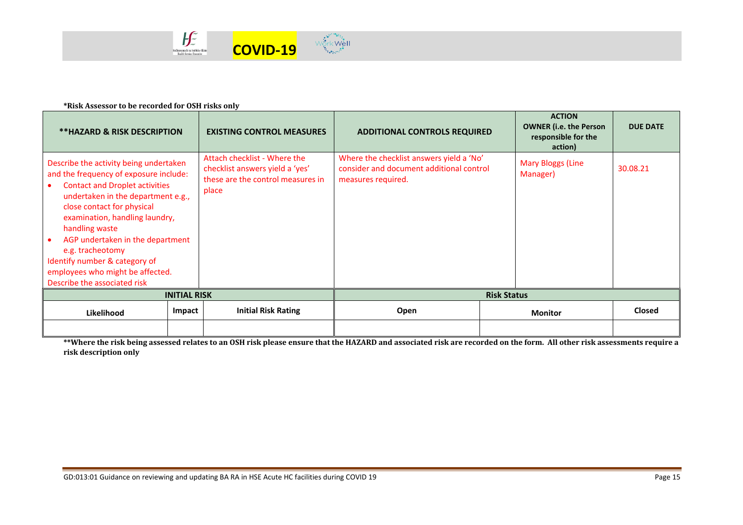

#### **\*Risk Assessor to be recorded for OSH risks only**

| <b>**HAZARD &amp; RISK DESCRIPTION</b>                                                                                                                                                                                                                                                                                                                                                                         |        | <b>EXISTING CONTROL MEASURES</b>                                                                              | <b>ADDITIONAL CONTROLS REQUIRED</b>                                                                        |  | <b>ACTION</b><br><b>OWNER (i.e. the Person</b><br>responsible for the<br>action) | <b>DUE DATE</b> |  |
|----------------------------------------------------------------------------------------------------------------------------------------------------------------------------------------------------------------------------------------------------------------------------------------------------------------------------------------------------------------------------------------------------------------|--------|---------------------------------------------------------------------------------------------------------------|------------------------------------------------------------------------------------------------------------|--|----------------------------------------------------------------------------------|-----------------|--|
| Describe the activity being undertaken<br>and the frequency of exposure include:<br><b>Contact and Droplet activities</b><br>undertaken in the department e.g.,<br>close contact for physical<br>examination, handling laundry,<br>handling waste<br>AGP undertaken in the department<br>e.g. tracheotomy<br>Identify number & category of<br>employees who might be affected.<br>Describe the associated risk |        | Attach checklist - Where the<br>checklist answers yield a 'yes'<br>these are the control measures in<br>place | Where the checklist answers yield a 'No'<br>consider and document additional control<br>measures required. |  | <b>Mary Bloggs (Line</b><br>Manager)                                             | 30.08.21        |  |
| <b>INITIAL RISK</b>                                                                                                                                                                                                                                                                                                                                                                                            |        |                                                                                                               | <b>Risk Status</b>                                                                                         |  |                                                                                  |                 |  |
| Likelihood                                                                                                                                                                                                                                                                                                                                                                                                     | Impact | <b>Initial Risk Rating</b>                                                                                    | Open                                                                                                       |  | <b>Monitor</b>                                                                   | <b>Closed</b>   |  |
|                                                                                                                                                                                                                                                                                                                                                                                                                |        |                                                                                                               |                                                                                                            |  |                                                                                  |                 |  |

**\*\*Where the risk being assessed relates to an OSH risk please ensure that the HAZARD and associated risk are recorded on the form. All other risk assessments require a risk description only**